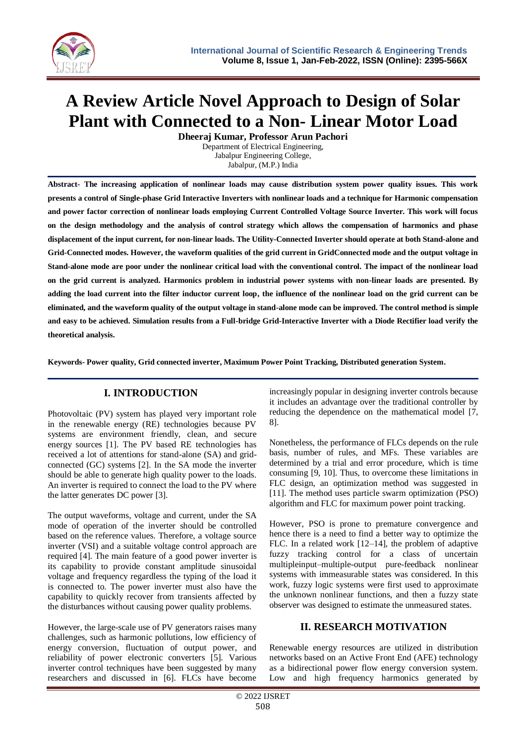

# **A Review Article Novel Approach to Design of Solar Plant with Connected to a Non- Linear Motor Load**

**Dheeraj Kumar, Professor Arun Pachori** Department of Electrical Engineering,

Jabalpur Engineering College, Jabalpur, (M.P.) India

**Abstract- The increasing application of nonlinear loads may cause distribution system power quality issues. This work presents a control of Single-phase Grid Interactive Inverters with nonlinear loads and a technique for Harmonic compensation and power factor correction of nonlinear loads employing Current Controlled Voltage Source Inverter. This work will focus on the design methodology and the analysis of control strategy which allows the compensation of harmonics and phase displacement of the input current, for non-linear loads. The Utility-Connected Inverter should operate at both Stand-alone and Grid-Connected modes. However, the waveform qualities of the grid current in GridConnected mode and the output voltage in Stand-alone mode are poor under the nonlinear critical load with the conventional control. The impact of the nonlinear load on the grid current is analyzed. Harmonics problem in industrial power systems with non-linear loads are presented. By adding the load current into the filter inductor current loop, the influence of the nonlinear load on the grid current can be eliminated, and the waveform quality of the output voltage in stand-alone mode can be improved. The control method is simple and easy to be achieved. Simulation results from a Full-bridge Grid-Interactive Inverter with a Diode Rectifier load verify the theoretical analysis.** 

**Keywords- Power quality, Grid connected inverter, Maximum Power Point Tracking, Distributed generation System.**

## **I. INTRODUCTION**

Photovoltaic (PV) system has played very important role in the renewable energy (RE) technologies because PV systems are environment friendly, clean, and secure energy sources [1]. The PV based RE technologies has received a lot of attentions for stand-alone (SA) and gridconnected (GC) systems [2]. In the SA mode the inverter should be able to generate high quality power to the loads. An inverter is required to connect the load to the PV where the latter generates DC power [3].

The output waveforms, voltage and current, under the SA mode of operation of the inverter should be controlled based on the reference values. Therefore, a voltage source inverter (VSI) and a suitable voltage control approach are required [4]. The main feature of a good power inverter is its capability to provide constant amplitude sinusoidal voltage and frequency regardless the typing of the load it is connected to. The power inverter must also have the capability to quickly recover from transients affected by the disturbances without causing power quality problems.

However, the large-scale use of PV generators raises many challenges, such as harmonic pollutions, low efficiency of energy conversion, fluctuation of output power, and reliability of power electronic converters [5]. Various inverter control techniques have been suggested by many researchers and discussed in [6]. FLCs have become increasingly popular in designing inverter controls because it includes an advantage over the traditional controller by reducing the dependence on the mathematical model [7, 8].

Nonetheless, the performance of FLCs depends on the rule basis, number of rules, and MFs. These variables are determined by a trial and error procedure, which is time consuming [9, 10]. Thus, to overcome these limitations in FLC design, an optimization method was suggested in [11]. The method uses particle swarm optimization (PSO) algorithm and FLC for maximum power point tracking.

However, PSO is prone to premature convergence and hence there is a need to find a better way to optimize the FLC. In a related work [12–14], the problem of adaptive fuzzy tracking control for a class of uncertain multipleinput–multiple-output pure-feedback nonlinear systems with immeasurable states was considered. In this work, fuzzy logic systems were first used to approximate the unknown nonlinear functions, and then a fuzzy state observer was designed to estimate the unmeasured states.

## **II. RESEARCH MOTIVATION**

Renewable energy resources are utilized in distribution networks based on an Active Front End (AFE) technology as a bidirectional power flow energy conversion system. Low and high frequency harmonics generated by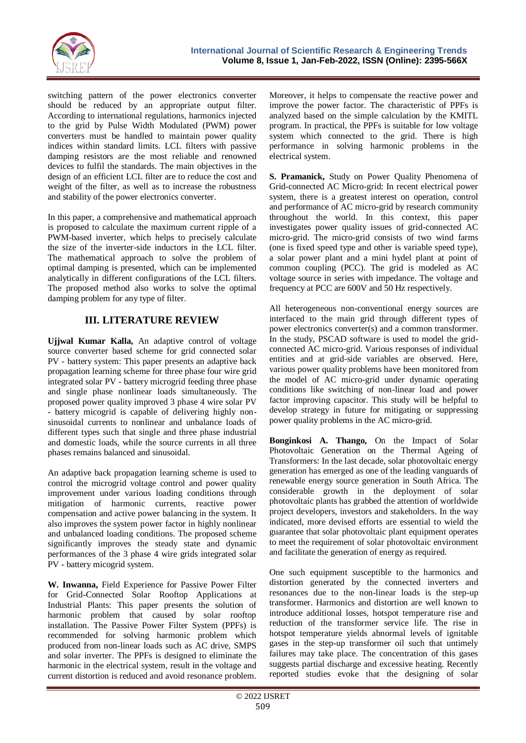

switching pattern of the power electronics converter should be reduced by an appropriate output filter. According to international regulations, harmonics injected to the grid by Pulse Width Modulated (PWM) power converters must be handled to maintain power quality indices within standard limits. LCL filters with passive damping resistors are the most reliable and renowned devices to fulfil the standards. The main objectives in the design of an efficient LCL filter are to reduce the cost and weight of the filter, as well as to increase the robustness and stability of the power electronics converter.

In this paper, a comprehensive and mathematical approach is proposed to calculate the maximum current ripple of a PWM-based inverter, which helps to precisely calculate the size of the inverter-side inductors in the LCL filter. The mathematical approach to solve the problem of optimal damping is presented, which can be implemented analytically in different configurations of the LCL filters. The proposed method also works to solve the optimal damping problem for any type of filter.

## **III. LITERATURE REVIEW**

**Ujjwal Kumar Kalla,** An adaptive control of voltage source converter based scheme for grid connected solar PV - battery system: This paper presents an adaptive back propagation learning scheme for three phase four wire grid integrated solar PV - battery microgrid feeding three phase and single phase nonlinear loads simultaneously. The proposed power quality improved 3 phase 4 wire solar PV - battery micogrid is capable of delivering highly nonsinusoidal currents to nonlinear and unbalance loads of different types such that single and three phase industrial and domestic loads, while the source currents in all three phases remains balanced and sinusoidal.

An adaptive back propagation learning scheme is used to control the microgrid voltage control and power quality improvement under various loading conditions through mitigation of harmonic currents, reactive power compensation and active power balancing in the system. It also improves the system power factor in highly nonlinear and unbalanced loading conditions. The proposed scheme significantly improves the steady state and dynamic performances of the 3 phase 4 wire grids integrated solar PV - battery micogrid system.

**W. Inwanna,** Field Experience for Passive Power Filter for Grid-Connected Solar Rooftop Applications at Industrial Plants: This paper presents the solution of harmonic problem that caused by solar rooftop installation. The Passive Power Filter System (PPFs) is recommended for solving harmonic problem which produced from non-linear loads such as AC drive, SMPS and solar inverter. The PPFs is designed to eliminate the harmonic in the electrical system, result in the voltage and current distortion is reduced and avoid resonance problem.

Moreover, it helps to compensate the reactive power and improve the power factor. The characteristic of PPFs is analyzed based on the simple calculation by the KMITL program. In practical, the PPFs is suitable for low voltage system which connected to the grid. There is high performance in solving harmonic problems in the electrical system.

**S. Pramanick,** Study on Power Quality Phenomena of Grid-connected AC Micro-grid: In recent electrical power system, there is a greatest interest on operation, control and performance of AC micro-grid by research community throughout the world. In this context, this paper investigates power quality issues of grid-connected AC micro-grid. The micro-grid consists of two wind farms (one is fixed speed type and other is variable speed type), a solar power plant and a mini hydel plant at point of common coupling (PCC). The grid is modeled as AC voltage source in series with impedance. The voltage and frequency at PCC are 600V and 50 Hz respectively.

All heterogeneous non-conventional energy sources are interfaced to the main grid through different types of power electronics converter(s) and a common transformer. In the study, PSCAD software is used to model the gridconnected AC micro-grid. Various responses of individual entities and at grid-side variables are observed. Here, various power quality problems have been monitored from the model of AC micro-grid under dynamic operating conditions like switching of non-linear load and power factor improving capacitor. This study will be helpful to develop strategy in future for mitigating or suppressing power quality problems in the AC micro-grid.

**Bonginkosi A. Thango,** On the Impact of Solar Photovoltaic Generation on the Thermal Ageing of Transformers: In the last decade, solar photovoltaic energy generation has emerged as one of the leading vanguards of renewable energy source generation in South Africa. The considerable growth in the deployment of solar photovoltaic plants has grabbed the attention of worldwide project developers, investors and stakeholders. In the way indicated, more devised efforts are essential to wield the guarantee that solar photovoltaic plant equipment operates to meet the requirement of solar photovoltaic environment and facilitate the generation of energy as required.

One such equipment susceptible to the harmonics and distortion generated by the connected inverters and resonances due to the non-linear loads is the step-up transformer. Harmonics and distortion are well known to introduce additional losses, hotspot temperature rise and reduction of the transformer service life. The rise in hotspot temperature yields abnormal levels of ignitable gases in the step-up transformer oil such that untimely failures may take place. The concentration of this gases suggests partial discharge and excessive heating. Recently reported studies evoke that the designing of solar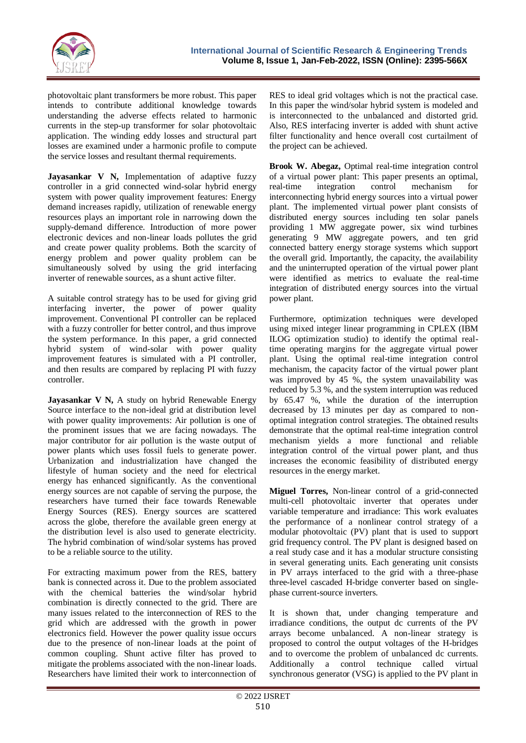

photovoltaic plant transformers be more robust. This paper intends to contribute additional knowledge towards understanding the adverse effects related to harmonic currents in the step-up transformer for solar photovoltaic application. The winding eddy losses and structural part losses are examined under a harmonic profile to compute the service losses and resultant thermal requirements.

**Jayasankar V N, Implementation of adaptive fuzzy** controller in a grid connected wind-solar hybrid energy system with power quality improvement features: Energy demand increases rapidly, utilization of renewable energy resources plays an important role in narrowing down the supply-demand difference. Introduction of more power electronic devices and non-linear loads pollutes the grid and create power quality problems. Both the scarcity of energy problem and power quality problem can be simultaneously solved by using the grid interfacing inverter of renewable sources, as a shunt active filter.

A suitable control strategy has to be used for giving grid interfacing inverter, the power of power quality improvement. Conventional PI controller can be replaced with a fuzzy controller for better control, and thus improve the system performance. In this paper, a grid connected hybrid system of wind-solar with power quality improvement features is simulated with a PI controller, and then results are compared by replacing PI with fuzzy controller.

**Jayasankar V N,** A study on hybrid Renewable Energy Source interface to the non-ideal grid at distribution level with power quality improvements: Air pollution is one of the prominent issues that we are facing nowadays. The major contributor for air pollution is the waste output of power plants which uses fossil fuels to generate power. Urbanization and industrialization have changed the lifestyle of human society and the need for electrical energy has enhanced significantly. As the conventional energy sources are not capable of serving the purpose, the researchers have turned their face towards Renewable Energy Sources (RES). Energy sources are scattered across the globe, therefore the available green energy at the distribution level is also used to generate electricity. The hybrid combination of wind/solar systems has proved to be a reliable source to the utility.

For extracting maximum power from the RES, battery bank is connected across it. Due to the problem associated with the chemical batteries the wind/solar hybrid combination is directly connected to the grid. There are many issues related to the interconnection of RES to the grid which are addressed with the growth in power electronics field. However the power quality issue occurs due to the presence of non-linear loads at the point of common coupling. Shunt active filter has proved to mitigate the problems associated with the non-linear loads. Researchers have limited their work to interconnection of

RES to ideal grid voltages which is not the practical case. In this paper the wind/solar hybrid system is modeled and is interconnected to the unbalanced and distorted grid. Also, RES interfacing inverter is added with shunt active filter functionality and hence overall cost curtailment of the project can be achieved.

**Brook W. Abegaz,** Optimal real-time integration control of a virtual power plant: This paper presents an optimal, real-time integration control mechanism for interconnecting hybrid energy sources into a virtual power plant. The implemented virtual power plant consists of distributed energy sources including ten solar panels providing 1 MW aggregate power, six wind turbines generating 9 MW aggregate powers, and ten grid connected battery energy storage systems which support the overall grid. Importantly, the capacity, the availability and the uninterrupted operation of the virtual power plant were identified as metrics to evaluate the real-time integration of distributed energy sources into the virtual power plant.

Furthermore, optimization techniques were developed using mixed integer linear programming in CPLEX (IBM ILOG optimization studio) to identify the optimal realtime operating margins for the aggregate virtual power plant. Using the optimal real-time integration control mechanism, the capacity factor of the virtual power plant was improved by 45 %, the system unavailability was reduced by 5.3 %, and the system interruption was reduced by 65.47 %, while the duration of the interruption decreased by 13 minutes per day as compared to nonoptimal integration control strategies. The obtained results demonstrate that the optimal real-time integration control mechanism yields a more functional and reliable integration control of the virtual power plant, and thus increases the economic feasibility of distributed energy resources in the energy market.

**Miguel Torres,** Non-linear control of a grid-connected multi-cell photovoltaic inverter that operates under variable temperature and irradiance: This work evaluates the performance of a nonlinear control strategy of a modular photovoltaic (PV) plant that is used to support grid frequency control. The PV plant is designed based on a real study case and it has a modular structure consisting in several generating units. Each generating unit consists in PV arrays interfaced to the grid with a three-phase three-level cascaded H-bridge converter based on singlephase current-source inverters.

It is shown that, under changing temperature and irradiance conditions, the output dc currents of the PV arrays become unbalanced. A non-linear strategy is proposed to control the output voltages of the H-bridges and to overcome the problem of unbalanced dc currents. Additionally a control technique called virtual synchronous generator (VSG) is applied to the PV plant in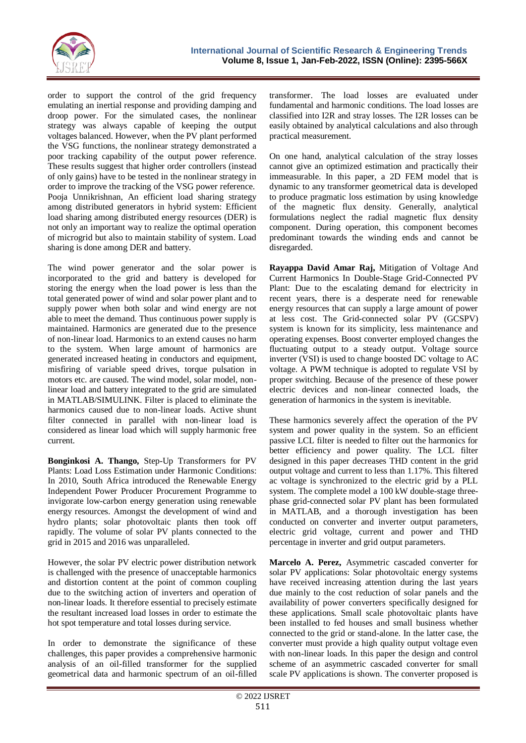

order to support the control of the grid frequency emulating an inertial response and providing damping and droop power. For the simulated cases, the nonlinear strategy was always capable of keeping the output voltages balanced. However, when the PV plant performed the VSG functions, the nonlinear strategy demonstrated a poor tracking capability of the output power reference. These results suggest that higher order controllers (instead of only gains) have to be tested in the nonlinear strategy in order to improve the tracking of the VSG power reference. Pooja Unnikrishnan, An efficient load sharing strategy among distributed generators in hybrid system: Efficient load sharing among distributed energy resources (DER) is not only an important way to realize the optimal operation of microgrid but also to maintain stability of system. Load sharing is done among DER and battery.

The wind power generator and the solar power is incorporated to the grid and battery is developed for storing the energy when the load power is less than the total generated power of wind and solar power plant and to supply power when both solar and wind energy are not able to meet the demand. Thus continuous power supply is maintained. Harmonics are generated due to the presence of non-linear load. Harmonics to an extend causes no harm to the system. When large amount of harmonics are generated increased heating in conductors and equipment, misfiring of variable speed drives, torque pulsation in motors etc. are caused. The wind model, solar model, nonlinear load and battery integrated to the grid are simulated in MATLAB/SIMULINK. Filter is placed to eliminate the harmonics caused due to non-linear loads. Active shunt filter connected in parallel with non-linear load is considered as linear load which will supply harmonic free current.

**Bonginkosi A. Thango,** Step-Up Transformers for PV Plants: Load Loss Estimation under Harmonic Conditions: In 2010, South Africa introduced the Renewable Energy Independent Power Producer Procurement Programme to invigorate low-carbon energy generation using renewable energy resources. Amongst the development of wind and hydro plants; solar photovoltaic plants then took off rapidly. The volume of solar PV plants connected to the grid in 2015 and 2016 was unparalleled.

However, the solar PV electric power distribution network is challenged with the presence of unacceptable harmonics and distortion content at the point of common coupling due to the switching action of inverters and operation of non-linear loads. It therefore essential to precisely estimate the resultant increased load losses in order to estimate the hot spot temperature and total losses during service.

In order to demonstrate the significance of these challenges, this paper provides a comprehensive harmonic analysis of an oil-filled transformer for the supplied geometrical data and harmonic spectrum of an oil-filled

transformer. The load losses are evaluated under fundamental and harmonic conditions. The load losses are classified into I2R and stray losses. The I2R losses can be easily obtained by analytical calculations and also through practical measurement.

On one hand, analytical calculation of the stray losses cannot give an optimized estimation and practically their immeasurable. In this paper, a 2D FEM model that is dynamic to any transformer geometrical data is developed to produce pragmatic loss estimation by using knowledge of the magnetic flux density. Generally, analytical formulations neglect the radial magnetic flux density component. During operation, this component becomes predominant towards the winding ends and cannot be disregarded.

**Rayappa David Amar Raj,** Mitigation of Voltage And Current Harmonics In Double-Stage Grid-Connected PV Plant: Due to the escalating demand for electricity in recent years, there is a desperate need for renewable energy resources that can supply a large amount of power at less cost. The Grid-connected solar PV (GCSPV) system is known for its simplicity, less maintenance and operating expenses. Boost converter employed changes the fluctuating output to a steady output. Voltage source inverter (VSI) is used to change boosted DC voltage to AC voltage. A PWM technique is adopted to regulate VSI by proper switching. Because of the presence of these power electric devices and non-linear connected loads, the generation of harmonics in the system is inevitable.

These harmonics severely affect the operation of the PV system and power quality in the system. So an efficient passive LCL filter is needed to filter out the harmonics for better efficiency and power quality. The LCL filter designed in this paper decreases THD content in the grid output voltage and current to less than 1.17%. This filtered ac voltage is synchronized to the electric grid by a PLL system. The complete model a 100 kW double-stage threephase grid-connected solar PV plant has been formulated in MATLAB, and a thorough investigation has been conducted on converter and inverter output parameters, electric grid voltage, current and power and THD percentage in inverter and grid output parameters.

**Marcelo A. Perez,** Asymmetric cascaded converter for solar PV applications: Solar photovoltaic energy systems have received increasing attention during the last years due mainly to the cost reduction of solar panels and the availability of power converters specifically designed for these applications. Small scale photovoltaic plants have been installed to fed houses and small business whether connected to the grid or stand-alone. In the latter case, the converter must provide a high quality output voltage even with non-linear loads. In this paper the design and control scheme of an asymmetric cascaded converter for small scale PV applications is shown. The converter proposed is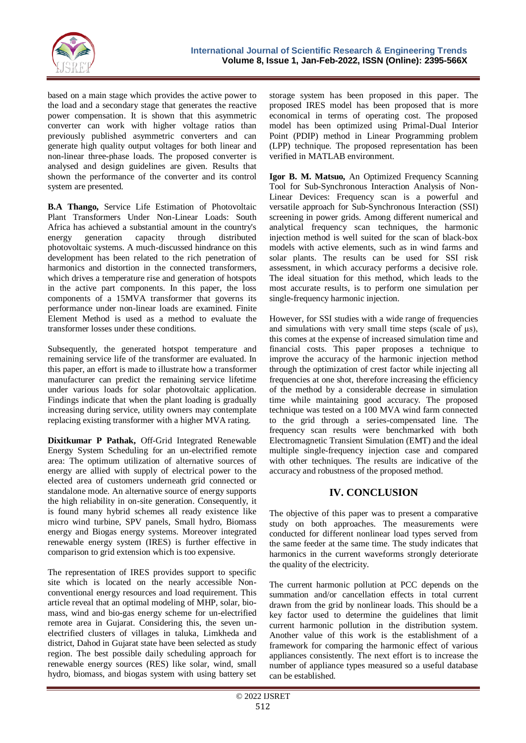

based on a main stage which provides the active power to the load and a secondary stage that generates the reactive power compensation. It is shown that this asymmetric converter can work with higher voltage ratios than previously published asymmetric converters and can generate high quality output voltages for both linear and non-linear three-phase loads. The proposed converter is analysed and design guidelines are given. Results that shown the performance of the converter and its control system are presented.

**B.A Thango,** Service Life Estimation of Photovoltaic Plant Transformers Under Non-Linear Loads: South Africa has achieved a substantial amount in the country's energy generation capacity through distributed photovoltaic systems. A much-discussed hindrance on this development has been related to the rich penetration of harmonics and distortion in the connected transformers, which drives a temperature rise and generation of hotspots in the active part components. In this paper, the loss components of a 15MVA transformer that governs its performance under non-linear loads are examined. Finite Element Method is used as a method to evaluate the transformer losses under these conditions.

Subsequently, the generated hotspot temperature and remaining service life of the transformer are evaluated. In this paper, an effort is made to illustrate how a transformer manufacturer can predict the remaining service lifetime under various loads for solar photovoltaic application. Findings indicate that when the plant loading is gradually increasing during service, utility owners may contemplate replacing existing transformer with a higher MVA rating.

**Dixitkumar P Pathak,** Off-Grid Integrated Renewable Energy System Scheduling for an un-electrified remote area: The optimum utilization of alternative sources of energy are allied with supply of electrical power to the elected area of customers underneath grid connected or standalone mode. An alternative source of energy supports the high reliability in on-site generation. Consequently, it is found many hybrid schemes all ready existence like micro wind turbine, SPV panels, Small hydro, Biomass energy and Biogas energy systems. Moreover integrated renewable energy system (IRES) is further effective in comparison to grid extension which is too expensive.

The representation of IRES provides support to specific site which is located on the nearly accessible Nonconventional energy resources and load requirement. This article reveal that an optimal modeling of MHP, solar, biomass, wind and bio-gas energy scheme for un-electrified remote area in Gujarat. Considering this, the seven unelectrified clusters of villages in taluka, Limkheda and district, Dahod in Gujarat state have been selected as study region. The best possible daily scheduling approach for renewable energy sources (RES) like solar, wind, small hydro, biomass, and biogas system with using battery set

storage system has been proposed in this paper. The proposed IRES model has been proposed that is more economical in terms of operating cost. The proposed model has been optimized using Primal-Dual Interior Point (PDIP) method in Linear Programming problem (LPP) technique. The proposed representation has been verified in MATLAB environment.

**Igor B. M. Matsuo,** An Optimized Frequency Scanning Tool for Sub-Synchronous Interaction Analysis of Non-Linear Devices: Frequency scan is a powerful and versatile approach for Sub-Synchronous Interaction (SSI) screening in power grids. Among different numerical and analytical frequency scan techniques, the harmonic injection method is well suited for the scan of black-box models with active elements, such as in wind farms and solar plants. The results can be used for SSI risk assessment, in which accuracy performs a decisive role. The ideal situation for this method, which leads to the most accurate results, is to perform one simulation per single-frequency harmonic injection.

However, for SSI studies with a wide range of frequencies and simulations with very small time steps (scale of μs), this comes at the expense of increased simulation time and financial costs. This paper proposes a technique to improve the accuracy of the harmonic injection method through the optimization of crest factor while injecting all frequencies at one shot, therefore increasing the efficiency of the method by a considerable decrease in simulation time while maintaining good accuracy. The proposed technique was tested on a 100 MVA wind farm connected to the grid through a series-compensated line. The frequency scan results were benchmarked with both Electromagnetic Transient Simulation (EMT) and the ideal multiple single-frequency injection case and compared with other techniques. The results are indicative of the accuracy and robustness of the proposed method.

## **IV. CONCLUSION**

The objective of this paper was to present a comparative study on both approaches. The measurements were conducted for different nonlinear load types served from the same feeder at the same time. The study indicates that harmonics in the current waveforms strongly deteriorate the quality of the electricity.

The current harmonic pollution at PCC depends on the summation and/or cancellation effects in total current drawn from the grid by nonlinear loads. This should be a key factor used to determine the guidelines that limit current harmonic pollution in the distribution system. Another value of this work is the establishment of a framework for comparing the harmonic effect of various appliances consistently. The next effort is to increase the number of appliance types measured so a useful database can be established.